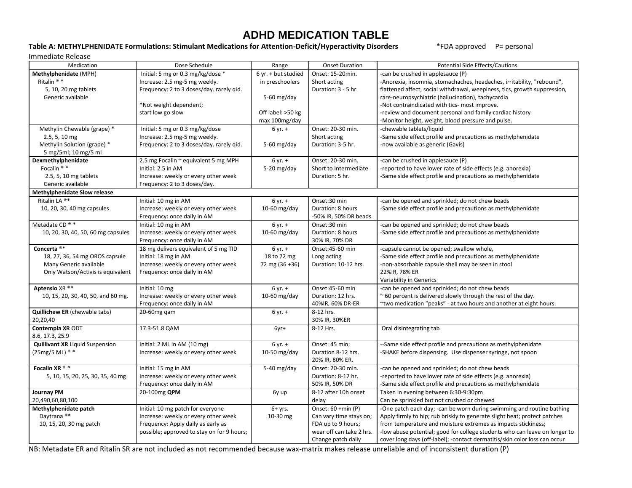## **ADHD MEDICATION TABLE**

## **Table A: METHYLPHENIDATE Formulations: Stimulant Medications for Attention-Deficit/Hyperactivity Disorders** \*FDA approved P= personal

| Immediate Release                      |                                            |                     |                          |                                                                            |  |  |
|----------------------------------------|--------------------------------------------|---------------------|--------------------------|----------------------------------------------------------------------------|--|--|
| Medication                             | Dose Schedule                              | Range               | <b>Onset Duration</b>    | Potential Side Effects/Cautions                                            |  |  |
| Methylphenidate (MPH)                  | Initial: 5 mg or 0.3 mg/kg/dose *          | 6 yr. + but studied | Onset: 15-20min.         | -can be crushed in applesauce (P)                                          |  |  |
| Ritalin <sup>®</sup> *                 | Increase: 2.5 mg-5 mg weekly.              | in preschoolers     | Short acting             | -Anorexia, insomnia, stomachaches, headaches, irritability, "rebound",     |  |  |
| 5, 10, 20 mg tablets                   | Frequency: 2 to 3 doses/day. rarely gid.   |                     | Duration: 3 - 5 hr.      | flattened affect, social withdrawal, weepiness, tics, growth suppression,  |  |  |
| Generic available                      |                                            | 5-60 $mg/day$       |                          | rare-neuropsychiatric (hallucination), tachycardia                         |  |  |
|                                        | *Not weight dependent;                     |                     |                          | -Not contraindicated with tics- most improve.                              |  |  |
|                                        | start low go slow                          | Off label: >50 kg   |                          | -review and document personal and family cardiac history                   |  |  |
|                                        |                                            | max 100mg/day       |                          | -Monitor height, weight, blood pressure and pulse.                         |  |  |
| Methylin Chewable (grape) *            | Initial: 5 mg or 0.3 mg/kg/dose            | $6 yr. +$           | Onset: 20-30 min.        | -chewable tablets/liquid                                                   |  |  |
| 2.5, 5, 10 mg                          | Increase: 2.5 mg-5 mg weekly.              |                     | Short acting             | -Same side effect profile and precautions as methylphenidate               |  |  |
| Methylin Solution (grape) *            | Frequency: 2 to 3 doses/day. rarely gid.   | 5-60 $mg/day$       | Duration: 3-5 hr.        | -now available as generic (Gavis)                                          |  |  |
| 5 mg/5ml; 10 mg/5 ml                   |                                            |                     |                          |                                                                            |  |  |
| Dexmethylphenidate                     | 2.5 mg Focalin ~ equivalent 5 mg MPH       | $6 yr. +$           | Onset: 20-30 min.        | -can be crushed in applesauce (P)                                          |  |  |
| Focalin <sup>®</sup> *                 | Initial: 2.5 in AM                         | 5-20 $mg/day$       | Short to Intermediate    | -reported to have lower rate of side effects (e.g. anorexia)               |  |  |
| 2.5, 5, 10 mg tablets                  | Increase: weekly or every other week       |                     | Duration: 5 hr.          | -Same side effect profile and precautions as methylphenidate               |  |  |
| Generic available                      | Frequency: 2 to 3 doses/day.               |                     |                          |                                                                            |  |  |
| <b>Methylphenidate Slow release</b>    |                                            |                     |                          |                                                                            |  |  |
| Ritalin LA ®*                          | Initial: 10 mg in AM                       | $6 yr. +$           | Onset:30 min             | -can be opened and sprinkled; do not chew beads                            |  |  |
| 10, 20, 30, 40 mg capsules             | Increase: weekly or every other week       | $10-60$ mg/day      | Duration: 8 hours        | -Same side effect profile and precautions as methylphenidate               |  |  |
|                                        | Frequency: once daily in AM                |                     | -50% IR, 50% DR beads    |                                                                            |  |  |
| Metadate CD <sup>®</sup> *             | Initial: 10 mg in AM                       | $6 yr. +$           | Onset:30 min             | -can be opened and sprinkled; do not chew beads                            |  |  |
| 10, 20, 30, 40, 50, 60 mg capsules     | Increase: weekly or every other week       | 10-60 $mg/day$      | Duration: 8 hours        | -Same side effect profile and precautions as methylphenidate               |  |  |
|                                        | Frequency: once daily in AM                |                     | 30% IR, 70% DR           |                                                                            |  |  |
| Concerta <sup>®*</sup>                 | 18 mg delivers equivalent of 5 mg TID      | $6 yr. +$           | Onset:45-60 min          | -capsule cannot be opened; swallow whole,                                  |  |  |
| 18, 27, 36, 54 mg OROS capsule         | Initial: 18 mg in AM                       | 18 to 72 mg         | Long acting              | -Same side effect profile and precautions as methylphenidate               |  |  |
| Many Generic available                 | Increase: weekly or every other week       | 72 mg (36 +36)      | Duration: 10-12 hrs.     | -non-absorbable capsule shell may be seen in stool                         |  |  |
| Only Watson/Activis is equivalent      | Frequency: once daily in AM                |                     |                          | 22%IR, 78% ER                                                              |  |  |
|                                        |                                            |                     |                          | Variability in Generics                                                    |  |  |
| Aptensio XR ®*                         | Initial: 10 mg                             | $6 yr. +$           | Onset:45-60 min          | -can be opened and sprinkled; do not chew beads                            |  |  |
| 10, 15, 20, 30, 40, 50, and 60 mg.     | Increase: weekly or every other week       | $10-60$ mg/day      | Duration: 12 hrs.        | $\approx$ 60 percent is delivered slowly through the rest of the day.      |  |  |
|                                        | Frequency: once daily in AM                |                     | 40%IR, 60% DR-ER         | ~two medication "peaks" - at two hours and another at eight hours.         |  |  |
| <b>Quillichew ER</b> (chewable tabs)   | 20-60mg gam                                | $6 yr. +$           | 8-12 hrs.                |                                                                            |  |  |
| 20,20,40                               |                                            |                     | 30% IR, 30%ER            |                                                                            |  |  |
| Contempla XR ODT                       | 17.3-51.8 QAM                              | 6yr+                | 8-12 Hrs.                | Oral disintegrating tab                                                    |  |  |
| 8.6, 17.3, 25.9                        |                                            |                     |                          |                                                                            |  |  |
| <b>Quillivant XR</b> Liquid Suspension | Initial: 2 ML in AM (10 mg)                | $6 yr. +$           | Onset: 45 min;           | --Same side effect profile and precautions as methylphenidate              |  |  |
| (25mg/5 ML) ® *                        | Increase: weekly or every other week       | 10-50 mg/day        | Duration 8-12 hrs.       | -SHAKE before dispensing. Use dispenser syringe, not spoon                 |  |  |
|                                        |                                            |                     | 20% IR, 80% ER.          |                                                                            |  |  |
| Focalin XR ® *                         | Initial: 15 mg in AM                       | 5-40 $mg/day$       | Onset: 20-30 min.        | -can be opened and sprinkled; do not chew beads                            |  |  |
| 5, 10, 15, 20, 25, 30, 35, 40 mg       | Increase: weekly or every other week       |                     | Duration: 8-12 hr.       | -reported to have lower rate of side effects (e.g. anorexia)               |  |  |
|                                        | Frequency: once daily in AM                |                     | 50% IR, 50% DR           | -Same side effect profile and precautions as methylphenidate               |  |  |
| <b>Journay PM</b>                      | 20-100mg QPM                               | 6y up               | 8-12 after 10h onset     | Taken in evening between 6:30-9:30pm                                       |  |  |
| 20,490,60,80,100                       |                                            |                     | delay                    | Can be sprinkled but not crushed or chewed                                 |  |  |
| Methylphenidate patch                  | Initial: 10 mg patch for everyone          | $6+$ yrs.           | Onset: 60 +min (P)       | -One patch each day; -can be worn during swimming and routine bathing      |  |  |
| Daytrana <sup>®*</sup>                 | Increase: weekly or every other week       | 10-30 mg            | Can vary time stays on;  | Apply firmly to hip; rub briskly to generate slight heat; protect patches  |  |  |
| 10, 15, 20, 30 mg patch                | Frequency: Apply daily as early as         |                     | FDA up to 9 hours;       | from temperature and moisture extremes as impacts stickiness;              |  |  |
|                                        | possible; approved to stay on for 9 hours; |                     | wear off can take 2 hrs. | -low abuse potential; good for college students who can leave on longer to |  |  |
|                                        |                                            |                     | Change patch daily       | cover long days (off-label); -contact dermatitis/skin color loss can occur |  |  |

NB: Metadate ER and Ritalin SR are not included as not recommended because wax-matrix makes release unreliable and of inconsistent duration (P)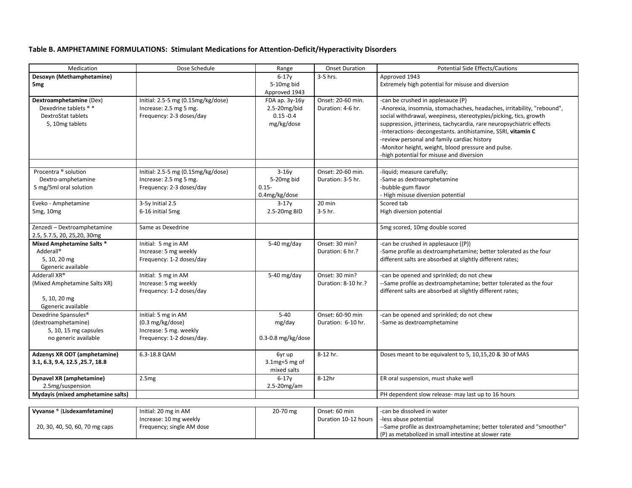## **Table B. AMPHETAMINE FORMULATIONS: Stimulant Medications for Attention-Deficit/Hyperactivity Disorders**

| Medication                        | Dose Schedule                      | Range                  | <b>Onset Duration</b> | <b>Potential Side Effects/Cautions</b>                                 |  |
|-----------------------------------|------------------------------------|------------------------|-----------------------|------------------------------------------------------------------------|--|
| Desoxyn (Methamphetamine)         |                                    | $6-17y$                | $3-5$ hrs.            | Approved 1943                                                          |  |
| 5 <sub>mg</sub>                   |                                    | 5-10mg bid             |                       | Extremely high potential for misuse and diversion                      |  |
|                                   |                                    | Approved 1943          |                       |                                                                        |  |
| Dextroamphetamine (Dex)           | Initial: 2.5-5 mg (0.15mg/kg/dose) | FDA ap. 3y-16y         | Onset: 20-60 min.     | -can be crushed in applesauce (P)                                      |  |
| Dexedrine tablets ® *             | Increase: 2.5 mg 5 mg.             | 2.5-20mg/bid           | Duration: 4-6 hr.     | -Anorexia, insomnia, stomachaches, headaches, irritability, "rebound", |  |
| <b>DextroStat tablets</b>         | Frequency: 2-3 doses/day           | $0.15 - 0.4$           |                       | social withdrawal, weepiness, stereotypies/picking, tics, growth       |  |
| 5, 10mg tablets                   |                                    | mg/kg/dose             |                       | suppression, jitteriness, tachycardia, rare neuropsychiatric effects   |  |
|                                   |                                    |                        |                       | -Interactions- decongestants. antihistamine, SSRI, vitamin C           |  |
|                                   |                                    |                        |                       | -review personal and family cardiac history                            |  |
|                                   |                                    |                        |                       | -Monitor height, weight, blood pressure and pulse.                     |  |
|                                   |                                    |                        |                       | -high potential for misuse and diversion                               |  |
|                                   |                                    |                        |                       |                                                                        |  |
| Procentra ® solution              | Initial: 2.5-5 mg (0.15mg/kg/dose) | $3-16y$                | Onset: 20-60 min.     | -liquid; measure carefully;                                            |  |
| Dextro-amphetamine                | Increase: 2.5 mg 5 mg.             | 5-20mg bid             | Duration: 3-5 hr.     | -Same as dextroamphetamine                                             |  |
| 5 mg/5ml oral solution            | Frequency: 2-3 doses/day           | $0.15 -$               |                       | -bubble-gum flavor                                                     |  |
|                                   |                                    | 0.4mg/kg/dose          |                       | - High misuse diversion potential                                      |  |
| Eveko - Amphetamine               | 3-5y Initial 2.5                   | $3-17y$                | 20 min                | Scored tab                                                             |  |
| 5mg, 10mg                         | 6-16 initial 5mg                   | 2.5-20mg BID           | 3-5 hr.               | High diversion potential                                               |  |
|                                   |                                    |                        |                       |                                                                        |  |
| Zenzedi - Dextroamphetamine       | Same as Dexedrine                  |                        |                       | 5mg scored, 10mg double scored                                         |  |
| 2.5, 5.7.5, 20, 25, 20, 30mg      |                                    |                        |                       |                                                                        |  |
| <b>Mixed Amphetamine Salts *</b>  | Initial: 5 mg in AM                | 5-40 mg/day            | Onset: 30 min?        | -can be crushed in applesauce ((P))                                    |  |
| Adderall®                         | Increase: 5 mg weekly              |                        | Duration: 6 hr.?      | -Same profile as dextroamphetamine; better tolerated as the four       |  |
| 5, 10, 20 mg                      | Frequency: 1-2 doses/day           |                        |                       | different salts are absorbed at slightly different rates;              |  |
| Ggeneric available                |                                    |                        |                       |                                                                        |  |
| Adderall XR®                      | Initial: 5 mg in AM                | 5-40 mg/day            | Onset: 30 min?        | -can be opened and sprinkled; do not chew                              |  |
| (Mixed Amphetamine Salts XR)      | Increase: 5 mg weekly              |                        | Duration: 8-10 hr.?   | --Same profile as dextroamphetamine; better tolerated as the four      |  |
|                                   | Frequency: 1-2 doses/day           |                        |                       | different salts are absorbed at slightly different rates;              |  |
| 5, 10, 20 mg                      |                                    |                        |                       |                                                                        |  |
| Ggeneric available                |                                    |                        |                       |                                                                        |  |
| Dexedrine Spansules <sup>®</sup>  | Initial: 5 mg in AM                | $5 - 40$               | Onset: 60-90 min      | -can be opened and sprinkled; do not chew                              |  |
| (dextroamphetamine)               | $(0.3 \text{ mg/kg/dose})$         | mg/day                 | Duration: 6-10 hr.    | -Same as dextroamphetamine                                             |  |
| 5, 10, 15 mg capsules             | Increase: 5 mg. weekly             |                        |                       |                                                                        |  |
| no generic available              | Frequency: 1-2 doses/day.          | $0.3 - 0.8$ mg/kg/dose |                       |                                                                        |  |
|                                   |                                    |                        |                       |                                                                        |  |
| Adzenys XR ODT (amphetamine)      | 6.3-18.8 QAM                       | 6yr up                 | 8-12 hr.              | Doses meant to be equivalent to 5, 10,15,20 & 30 of MAS                |  |
| 3.1, 6.3, 9.4, 12.5, 25.7, 18.8   |                                    | $3.1$ mg=5 mg of       |                       |                                                                        |  |
|                                   |                                    | mixed salts            |                       |                                                                        |  |
| <b>Dynavel XR (amphetamine)</b>   | 2.5mg                              | $6-17y$                | 8-12hr                | ER oral suspension, must shake well                                    |  |
| 2.5mg/suspension                  |                                    | $2.5 - 20$ mg/am       |                       |                                                                        |  |
| Mydayis (mixed amphetamine salts) |                                    |                        |                       | PH dependent slow release- may last up to 16 hours                     |  |
|                                   |                                    |                        |                       |                                                                        |  |

| Vyvanse ® (Lisdexamfetamine)   | Initial: 20 mg in AM      | 20-70 mg | Onset: 60 min                                | can be dissolved in water                                           |
|--------------------------------|---------------------------|----------|----------------------------------------------|---------------------------------------------------------------------|
|                                | Increase: 10 mg weekly    |          | Duration 10-12 hours   -less abuse potential |                                                                     |
| 20, 30, 40, 50, 60, 70 mg caps | Frequency; single AM dose |          |                                              | -Same profile as dextroamphetamine; better tolerated and "smoother" |
|                                |                           |          |                                              | (P) as metabolized in small intestine at slower rate                |